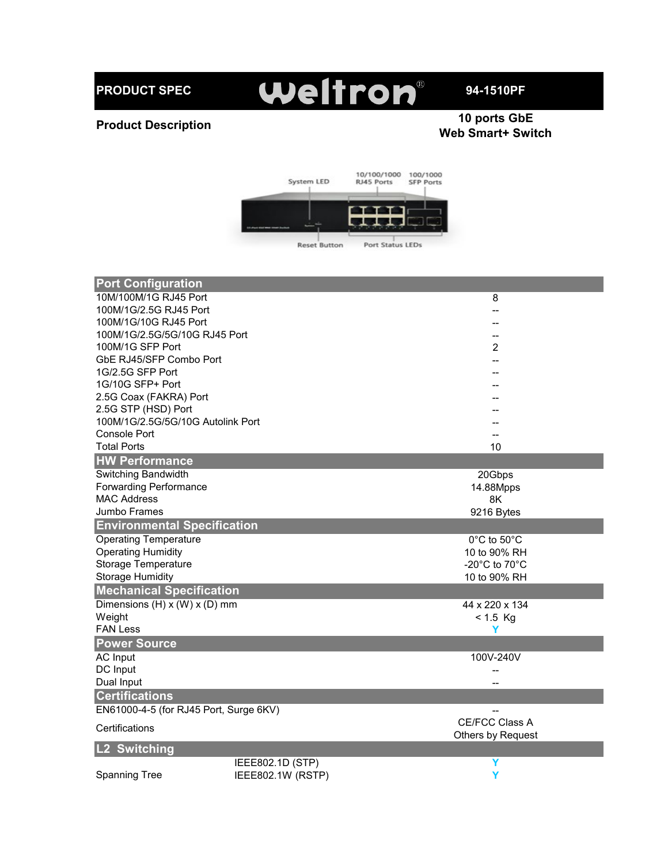**PRODUCT SPEC**

## Weltron®

**94-1510PF**

## **Product Description**

## **10 ports GbE Web Smart+ Switch**



| <b>Port Configuration</b>              |                   |                   |
|----------------------------------------|-------------------|-------------------|
| 10M/100M/1G RJ45 Port                  |                   | 8                 |
| 100M/1G/2.5G RJ45 Port                 |                   |                   |
| 100M/1G/10G RJ45 Port                  |                   |                   |
| 100M/1G/2.5G/5G/10G RJ45 Port          |                   |                   |
| 100M/1G SFP Port                       |                   | 2                 |
| GbE RJ45/SFP Combo Port                |                   |                   |
| 1G/2.5G SFP Port                       |                   |                   |
| 1G/10G SFP+ Port                       |                   |                   |
| 2.5G Coax (FAKRA) Port                 |                   |                   |
| 2.5G STP (HSD) Port                    |                   |                   |
| 100M/1G/2.5G/5G/10G Autolink Port      |                   |                   |
| Console Port                           |                   |                   |
| <b>Total Ports</b>                     |                   | 10                |
| <b>HW Performance</b>                  |                   |                   |
| Switching Bandwidth                    |                   | 20Gbps            |
| <b>Forwarding Performance</b>          |                   | 14.88Mpps         |
| <b>MAC Address</b>                     |                   | 8K                |
| Jumbo Frames                           |                   | 9216 Bytes        |
| <b>Environmental Specification</b>     |                   |                   |
| <b>Operating Temperature</b>           |                   | 0°C to 50°C       |
| <b>Operating Humidity</b>              |                   | 10 to 90% RH      |
| Storage Temperature                    |                   | -20°C to 70°C     |
| <b>Storage Humidity</b>                |                   | 10 to 90% RH      |
| <b>Mechanical Specification</b>        |                   |                   |
| Dimensions (H) x (W) x (D) mm          |                   | 44 x 220 x 134    |
| Weight                                 |                   | $< 1.5$ Kg        |
| <b>FAN Less</b>                        |                   | Y                 |
| <b>Power Source</b>                    |                   |                   |
| <b>AC Input</b>                        |                   | 100V-240V         |
| DC Input                               |                   | --                |
| Dual Input                             |                   |                   |
| <b>Certifications</b>                  |                   |                   |
| EN61000-4-5 (for RJ45 Port, Surge 6KV) |                   |                   |
|                                        |                   | CE/FCC Class A    |
| Certifications                         |                   | Others by Request |
| <b>Switching</b>                       |                   |                   |
|                                        | IEEE802.1D (STP)  | Y                 |
| <b>Spanning Tree</b>                   | IEEE802.1W (RSTP) | Y                 |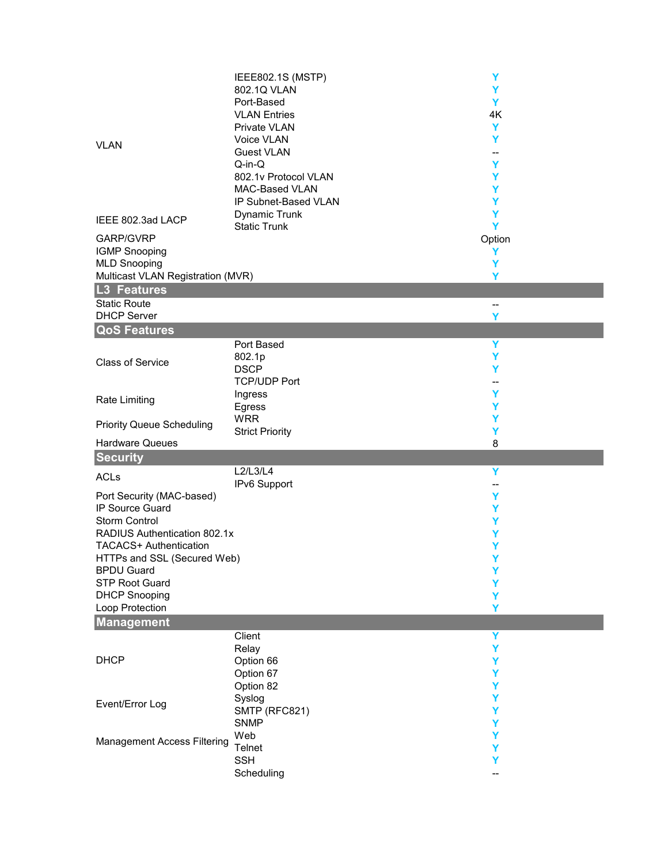| <b>VLAN</b>                                      | IEEE802.1S (MSTP)<br>802.1Q VLAN<br>Port-Based<br><b>VLAN Entries</b><br>Private VLAN<br>Voice VLAN<br><b>Guest VLAN</b><br>$Q-in-Q$ | Y<br>Υ<br>Y<br>4K<br>Y<br>Y<br>--<br>Y |  |
|--------------------------------------------------|--------------------------------------------------------------------------------------------------------------------------------------|----------------------------------------|--|
| IEEE 802.3ad LACP                                | 802.1v Protocol VLAN<br>MAC-Based VLAN<br>IP Subnet-Based VLAN<br><b>Dynamic Trunk</b>                                               | Y<br>Y<br>Y<br>Y                       |  |
|                                                  | <b>Static Trunk</b>                                                                                                                  | Y                                      |  |
| GARP/GVRP<br><b>IGMP Snooping</b>                |                                                                                                                                      | Option                                 |  |
| <b>MLD Snooping</b>                              |                                                                                                                                      | Y<br>Y                                 |  |
| Multicast VLAN Registration (MVR)                |                                                                                                                                      | Y                                      |  |
| L3 Features                                      |                                                                                                                                      |                                        |  |
| <b>Static Route</b>                              |                                                                                                                                      | $\overline{\phantom{a}}$               |  |
| <b>DHCP Server</b>                               |                                                                                                                                      | Y                                      |  |
| <b>QoS Features</b>                              |                                                                                                                                      |                                        |  |
|                                                  | Port Based                                                                                                                           | Y                                      |  |
| <b>Class of Service</b>                          | 802.1p                                                                                                                               | Y                                      |  |
|                                                  | <b>DSCP</b>                                                                                                                          | Y                                      |  |
|                                                  | <b>TCP/UDP Port</b>                                                                                                                  | --                                     |  |
| <b>Rate Limiting</b>                             | Ingress                                                                                                                              | Y                                      |  |
|                                                  | Egress<br><b>WRR</b>                                                                                                                 | Y                                      |  |
| <b>Priority Queue Scheduling</b>                 | <b>Strict Priority</b>                                                                                                               | Y<br>Y                                 |  |
| <b>Hardware Queues</b>                           |                                                                                                                                      | 8                                      |  |
| <b>Security</b>                                  |                                                                                                                                      |                                        |  |
|                                                  | L2/L3/L4                                                                                                                             | Y                                      |  |
| <b>ACLs</b>                                      | IPv6 Support                                                                                                                         | $-$                                    |  |
| Port Security (MAC-based)                        |                                                                                                                                      | Y                                      |  |
| IP Source Guard                                  |                                                                                                                                      | Y                                      |  |
| Storm Control                                    |                                                                                                                                      | Y                                      |  |
| RADIUS Authentication 802.1x                     |                                                                                                                                      | Υ                                      |  |
| <b>TACACS+ Authentication</b>                    |                                                                                                                                      | Y<br>Y                                 |  |
| HTTPs and SSL (Secured Web)<br><b>BPDU Guard</b> |                                                                                                                                      | Y                                      |  |
| <b>STP Root Guard</b>                            |                                                                                                                                      | Y                                      |  |
| <b>DHCP Snooping</b>                             |                                                                                                                                      | Y                                      |  |
| Loop Protection                                  |                                                                                                                                      | Y                                      |  |
| Management                                       |                                                                                                                                      |                                        |  |
|                                                  | Client                                                                                                                               | Y                                      |  |
|                                                  | Relay                                                                                                                                | Y                                      |  |
| <b>DHCP</b>                                      | Option 66                                                                                                                            | Y                                      |  |
|                                                  | Option 67                                                                                                                            | Y                                      |  |
|                                                  | Option 82<br>Syslog                                                                                                                  | Y<br>Y                                 |  |
| Event/Error Log                                  | SMTP (RFC821)                                                                                                                        | Υ                                      |  |
|                                                  | <b>SNMP</b>                                                                                                                          | Y                                      |  |
|                                                  | Web                                                                                                                                  | Y                                      |  |
| <b>Management Access Filtering</b>               | Telnet                                                                                                                               | Y                                      |  |
|                                                  | <b>SSH</b>                                                                                                                           | Y                                      |  |
|                                                  | Scheduling                                                                                                                           |                                        |  |